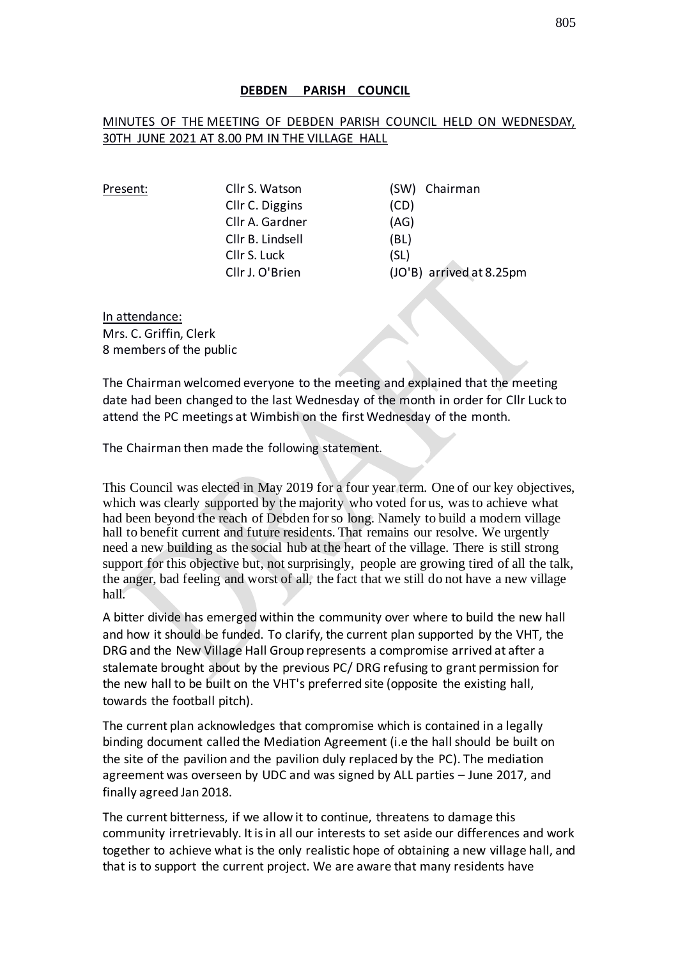#### **DEBDEN PARISH COUNCIL**

#### MINUTES OF THE MEETING OF DEBDEN PARISH COUNCIL HELD ON WEDNESDAY, 30TH JUNE 2021 AT 8.00 PM IN THE VILLAGE HALL

| Present: | Cllr S. Watson   | (SW) Chairman            |
|----------|------------------|--------------------------|
|          | Cllr C. Diggins  | (CD)                     |
|          | Cllr A. Gardner  | (AG)                     |
|          | Cllr B. Lindsell | (BL)                     |
|          | Cllr S. Luck     | (SL)                     |
|          | Cllr J. O'Brien  | (JO'B) arrived at 8.25pm |
|          |                  |                          |

In attendance: Mrs. C. Griffin, Clerk 8 members of the public

The Chairman welcomed everyone to the meeting and explained that the meeting date had been changed to the last Wednesday of the month in order for Cllr Luck to attend the PC meetings at Wimbish on the first Wednesday of the month.

The Chairman then made the following statement.

This Council was elected in May 2019 for a four year term. One of our key objectives, which was clearly supported by the majority who voted for us, was to achieve what had been beyond the reach of Debden for so long. Namely to build a modern village hall to benefit current and future residents. That remains our resolve. We urgently need a new building as the social hub at the heart of the village. There is still strong support for this objective but, not surprisingly, people are growing tired of all the talk, the anger, bad feeling and worst of all, the fact that we still do not have a new village hall.

A bitter divide has emerged within the community over where to build the new hall and how it should be funded. To clarify, the current plan supported by the VHT, the DRG and the New Village Hall Group represents a compromise arrived at after a stalemate brought about by the previous PC/ DRG refusing to grant permission for the new hall to be built on the VHT's preferred site (opposite the existing hall, towards the football pitch).

The current plan acknowledges that compromise which is contained in a legally binding document called the Mediation Agreement (i.e the hall should be built on the site of the pavilion and the pavilion duly replaced by the PC). The mediation agreement was overseen by UDC and was signed by ALL parties – June 2017, and finally agreed Jan 2018.

The current bitterness, if we allow it to continue, threatens to damage this community irretrievably. It is in all our interests to set aside our differences and work together to achieve what is the only realistic hope of obtaining a new village hall, and that is to support the current project. We are aware that many residents have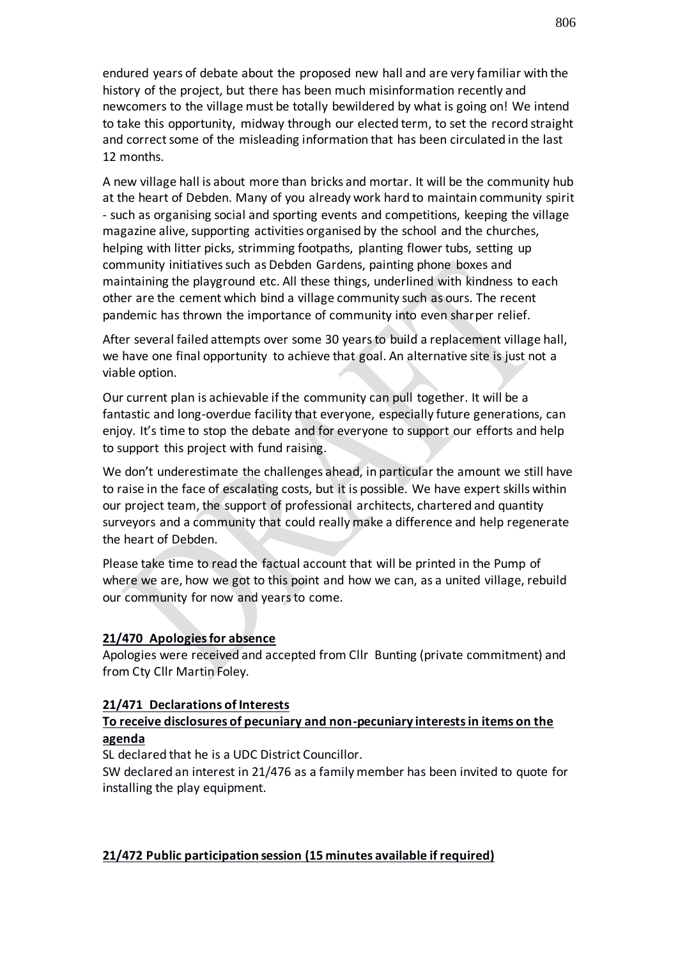endured years of debate about the proposed new hall and are very familiar with the history of the project, but there has been much misinformation recently and newcomers to the village must be totally bewildered by what is going on! We intend to take this opportunity, midway through our elected term, to set the record straight and correct some of the misleading information that has been circulated in the last 12 months.

A new village hall is about more than bricks and mortar. It will be the community hub at the heart of Debden. Many of you already work hard to maintain community spirit - such as organising social and sporting events and competitions, keeping the village magazine alive, supporting activities organised by the school and the churches, helping with litter picks, strimming footpaths, planting flower tubs, setting up community initiatives such as Debden Gardens, painting phone boxes and maintaining the playground etc. All these things, underlined with kindness to each other are the cement which bind a village community such as ours. The recent pandemic has thrown the importance of community into even sharper relief.

After several failed attempts over some 30 years to build a replacement village hall, we have one final opportunity to achieve that goal. An alternative site is just not a viable option.

Our current plan is achievable if the community can pull together. It will be a fantastic and long-overdue facility that everyone, especially future generations, can enjoy. It's time to stop the debate and for everyone to support our efforts and help to support this project with fund raising.

We don't underestimate the challenges ahead, in particular the amount we still have to raise in the face of escalating costs, but it is possible. We have expert skills within our project team, the support of professional architects, chartered and quantity surveyors and a community that could really make a difference and help regenerate the heart of Debden.

Please take time to read the factual account that will be printed in the Pump of where we are, how we got to this point and how we can, as a united village, rebuild our community for now and years to come.

#### **21/470 Apologies for absence**

Apologies were received and accepted from Cllr Bunting (private commitment) and from Cty Cllr Martin Foley.

#### **21/471 Declarations of Interests**

## **To receive disclosures of pecuniary and non-pecuniary interests in items on the agenda**

SL declared that he is a UDC District Councillor.

SW declared an interest in 21/476 as a family member has been invited to quote for installing the play equipment.

#### **21/472 Public participation session (15 minutes available if required)**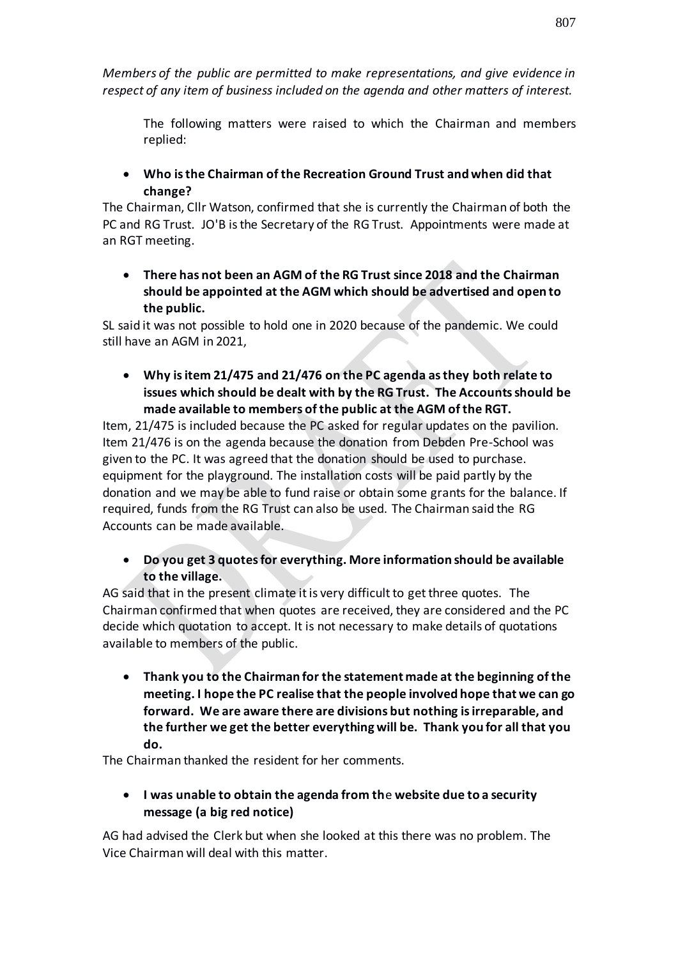*Members of the public are permitted to make representations, and give evidence in respect of any item of business included on the agenda and other matters of interest.*

The following matters were raised to which the Chairman and members replied:

• **Who is the Chairman of the Recreation Ground Trust and when did that change?** 

The Chairman, Cllr Watson, confirmed that she is currently the Chairman of both the PC and RG Trust. JO'B is the Secretary of the RG Trust. Appointments were made at an RGT meeting.

• **There has not been an AGM of the RG Trust since 2018 and the Chairman should be appointed at the AGM which should be advertised and open to the public.**

SL said it was not possible to hold one in 2020 because of the pandemic. We could still have an AGM in 2021,

• **Why is item 21/475 and 21/476 on the PC agenda as they both relate to issues which should be dealt with by the RG Trust. The Accounts should be made available to members of the public at the AGM of the RGT.** 

Item, 21/475 is included because the PC asked for regular updates on the pavilion. Item 21/476 is on the agenda because the donation from Debden Pre-School was given to the PC. It was agreed that the donation should be used to purchase. equipment for the playground. The installation costs will be paid partly by the donation and we may be able to fund raise or obtain some grants for the balance. If required, funds from the RG Trust can also be used. The Chairman said the RG Accounts can be made available.

• **Do you get 3 quotes for everything. More information should be available to the village.**

AG said that in the present climate it is very difficult to get three quotes. The Chairman confirmed that when quotes are received, they are considered and the PC decide which quotation to accept. It is not necessary to make details of quotations available to members of the public.

• **Thank you to the Chairman for the statement made at the beginning of the meeting. I hope the PC realise that the people involved hope that we can go forward. We are aware there are divisions but nothing is irreparable, and the further we get the better everything will be. Thank you for all that you do.**

The Chairman thanked the resident for her comments.

# • **I was unable to obtain the agenda from th**e **website due to a security message (a big red notice)**

AG had advised the Clerk but when she looked at this there was no problem. The Vice Chairman will deal with this matter.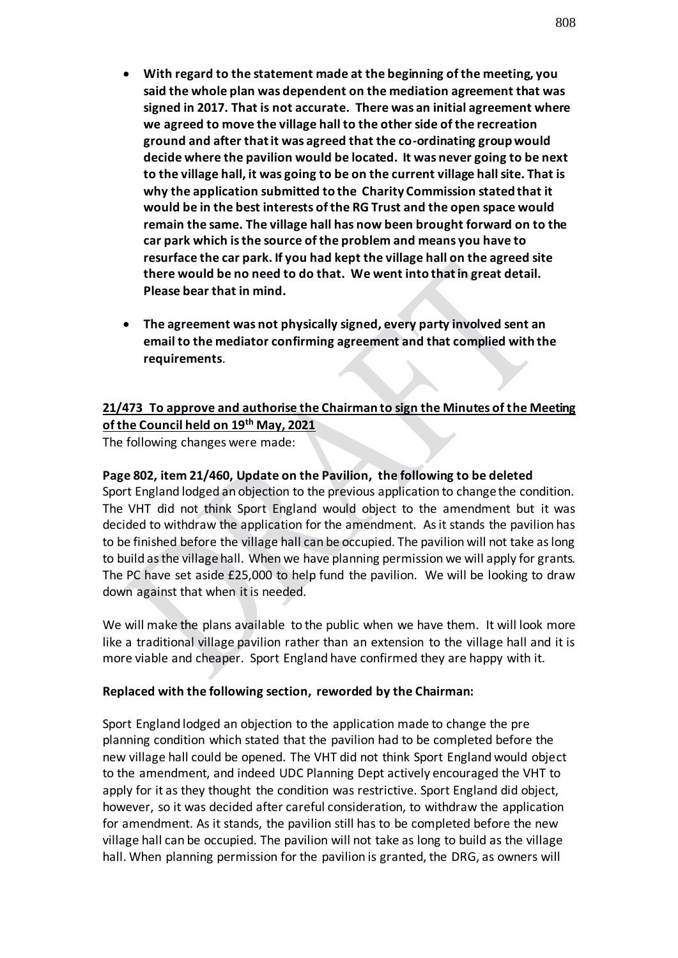- **With regard to the statement made at the beginning of the meeting, you said the whole plan was dependent on the mediation agreement that was signed in 2017. That is not accurate. There was an initial agreement where we agreed to move the village hall to the other side of the recreation ground and after that it was agreed that the co-ordinating group would decide where the pavilion would be located. It was never going to be next to the village hall, it was going to be on the current village hall site. That is why the application submitted to the Charity Commission stated that it would be in the best interests of the RG Trust and the open space would remain the same. The village hall has now been brought forward on to the car park which is the source of the problem and means you have to resurface the car park. If you had kept the village hall on the agreed site there would be no need to do that. We went into that in great detail. Please bear that in mind.**
- **The agreement was not physically signed, every party involved sent an email to the mediator confirming agreement and that complied with the requirements**.

## **21/473 To approve and authorise the Chairman to sign the Minutes of the Meeting of the Council held on 19th May, 2021**

The following changes were made:

## **Page 802, item 21/460, Update on the Pavilion, the following to be deleted**

Sport England lodged an objection to the previous application to change the condition. The VHT did not think Sport England would object to the amendment but it was decided to withdraw the application for the amendment. As it stands the pavilion has to be finished before the village hall can be occupied. The pavilion will not take as long to build as the village hall. When we have planning permission we will apply for grants. The PC have set aside £25,000 to help fund the pavilion. We will be looking to draw down against that when it is needed.

We will make the plans available to the public when we have them. It will look more like a traditional village pavilion rather than an extension to the village hall and it is more viable and cheaper. Sport England have confirmed they are happy with it.

#### **Replaced with the following section, reworded by the Chairman:**

Sport England lodged an objection to the application made to change the pre planning condition which stated that the pavilion had to be completed before the new village hall could be opened. The VHT did not think Sport England would object to the amendment, and indeed UDC Planning Dept actively encouraged the VHT to apply for it as they thought the condition was restrictive. Sport England did object, however, so it was decided after careful consideration, to withdraw the application for amendment. As it stands, the pavilion still has to be completed before the new village hall can be occupied. The pavilion will not take as long to build as the village hall. When planning permission for the pavilion is granted, the DRG, as owners will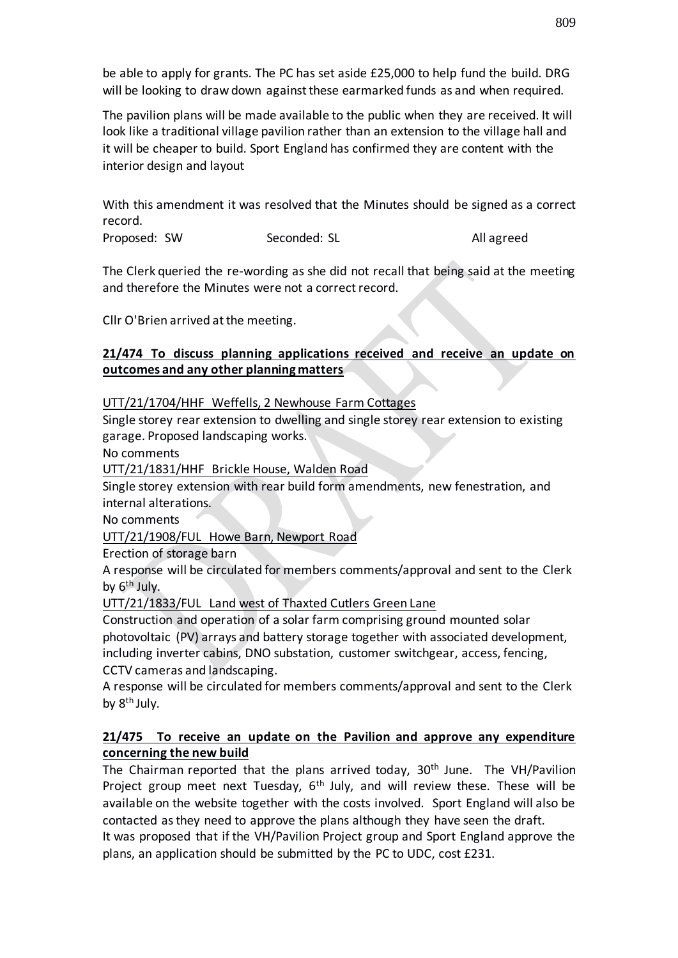be able to apply for grants. The PC has set aside £25,000 to help fund the build. DRG will be looking to draw down against these earmarked funds as and when required.

The pavilion plans will be made available to the public when they are received. It will look like a traditional village pavilion rather than an extension to the village hall and it will be cheaper to build. Sport England has confirmed they are content with the interior design and layout

With this amendment it was resolved that the Minutes should be signed as a correct record.

Proposed: SW Seconded: SL All agreed

The Clerk queried the re-wording as she did not recall that being said at the meeting and therefore the Minutes were not a correct record.

Cllr O'Brien arrived at the meeting.

## **21/474 To discuss planning applications received and receive an update on outcomes and any other planning matters**

## UTT/21/1704/HHF Weffells, 2 Newhouse Farm Cottages

Single storey rear extension to dwelling and single storey rear extension to existing garage. Proposed landscaping works.

No comments

UTT/21/1831/HHF Brickle House, Walden Road

Single storey extension with rear build form amendments, new fenestration, and internal alterations.

No comments

UTT/21/1908/FUL Howe Barn, Newport Road

Erection of storage barn

A response will be circulated for members comments/approval and sent to the Clerk by 6<sup>th</sup> July.

UTT/21/1833/FUL Land west of Thaxted Cutlers Green Lane

Construction and operation of a solar farm comprising ground mounted solar photovoltaic (PV) arrays and battery storage together with associated development, including inverter cabins, DNO substation, customer switchgear, access, fencing, CCTV cameras and landscaping.

A response will be circulated for members comments/approval and sent to the Clerk by 8<sup>th</sup> July.

## **21/475 To receive an update on the Pavilion and approve any expenditure concerning the new build**

The Chairman reported that the plans arrived today, 30<sup>th</sup> June. The VH/Pavilion Project group meet next Tuesday, 6<sup>th</sup> July, and will review these. These will be available on the website together with the costs involved. Sport England will also be contacted as they need to approve the plans although they have seen the draft.

It was proposed that if the VH/Pavilion Project group and Sport England approve the plans, an application should be submitted by the PC to UDC, cost £231.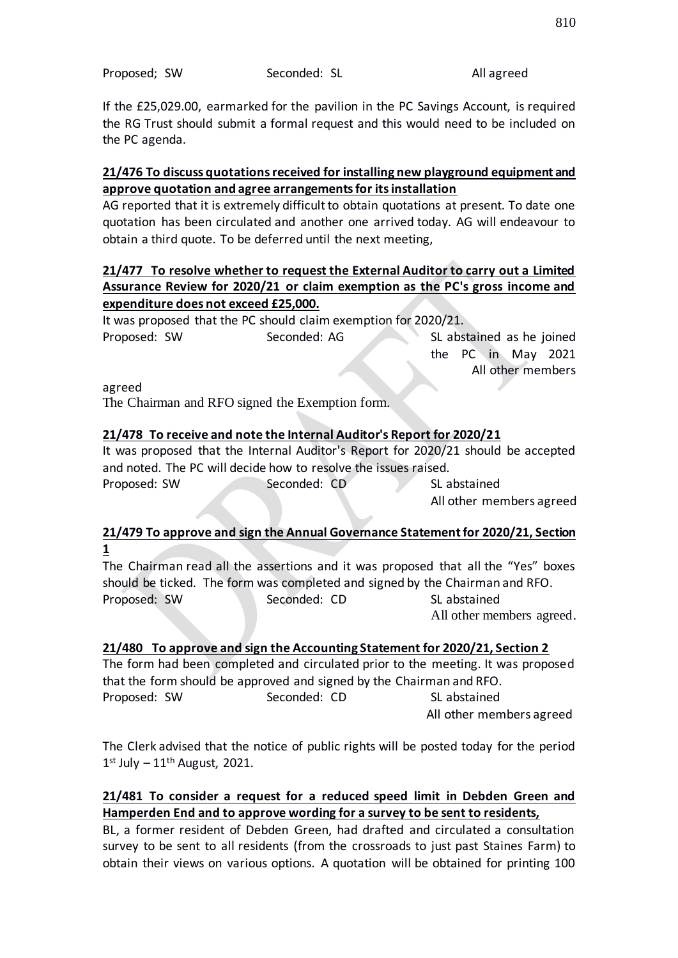If the £25,029.00, earmarked for the pavilion in the PC Savings Account, is required the RG Trust should submit a formal request and this would need to be included on the PC agenda.

## **21/476 To discuss quotations received for installing new playground equipment and approve quotation and agree arrangements for its installation**

AG reported that it is extremely difficult to obtain quotations at present. To date one quotation has been circulated and another one arrived today. AG will endeavour to obtain a third quote. To be deferred until the next meeting,

## **21/477 To resolve whether to request the External Auditor to carry out a Limited Assurance Review for 2020/21 or claim exemption as the PC's gross income and expenditure does not exceed £25,000.**

It was proposed that the PC should claim exemption for 2020/21. Proposed: SW Seconded: AG SL abstained as he joined

the PC in May 2021 All other members

agreed

The Chairman and RFO signed the Exemption form.

## **21/478 To receive and note the Internal Auditor's Report for 2020/21**

It was proposed that the Internal Auditor's Report for 2020/21 should be accepted and noted. The PC will decide how to resolve the issues raised. Proposed: SW Seconded: CD SL abstained

All other members agreed

## **21/479 To approve and sign the Annual Governance Statement for 2020/21, Section 1**

The Chairman read all the assertions and it was proposed that all the "Yes" boxes should be ticked. The form was completed and signed by the Chairman and RFO. Proposed: SW Seconded: CD SL abstained

All other members agreed.

## **21/480 To approve and sign the Accounting Statement for 2020/21, Section 2**

The form had been completed and circulated prior to the meeting. It was proposed that the form should be approved and signed by the Chairman and RFO. Proposed: SW Seconded: CD SL abstained

All other members agreed

The Clerk advised that the notice of public rights will be posted today for the period  $1<sup>st</sup>$  July  $-11<sup>th</sup>$  August, 2021.

## **21/481 To consider a request for a reduced speed limit in Debden Green and Hamperden End and to approve wording for a survey to be sent to residents,**

BL, a former resident of Debden Green, had drafted and circulated a consultation survey to be sent to all residents (from the crossroads to just past Staines Farm) to obtain their views on various options. A quotation will be obtained for printing 100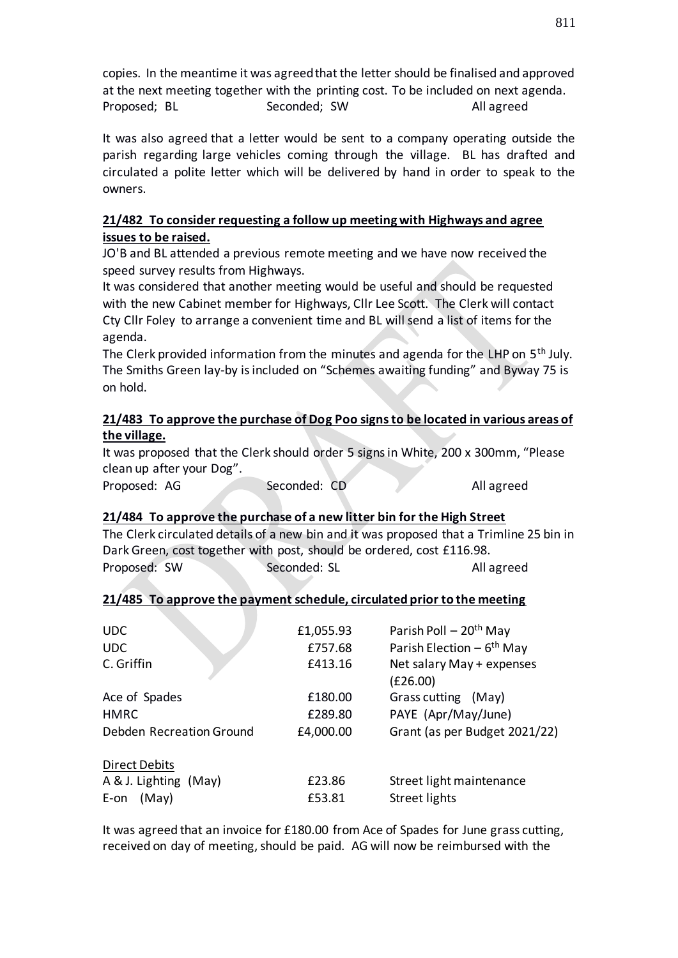copies. In the meantime it was agreed that the letter should be finalised and approved at the next meeting together with the printing cost. To be included on next agenda. Proposed; BL Seconded; SW Books All agreed

It was also agreed that a letter would be sent to a company operating outside the parish regarding large vehicles coming through the village. BL has drafted and circulated a polite letter which will be delivered by hand in order to speak to the owners.

# **21/482 To consider requesting a follow up meeting with Highways and agree issues to be raised.**

JO'B and BL attended a previous remote meeting and we have now received the speed survey results from Highways.

It was considered that another meeting would be useful and should be requested with the new Cabinet member for Highways, Cllr Lee Scott. The Clerk will contact Cty Cllr Foley to arrange a convenient time and BL will send a list of items for the agenda.

The Clerk provided information from the minutes and agenda for the LHP on 5<sup>th</sup> July. The Smiths Green lay-by is included on "Schemes awaiting funding" and Byway 75 is on hold.

## **21/483 To approve the purchase of Dog Poo signs to be located in various areas of the village.**

It was proposed that the Clerk should order 5 signs in White, 200 x 300mm, "Please clean up after your Dog".

Proposed: AG Seconded: CD All agreed

## **21/484 To approve the purchase of a new litter bin for the High Street**

The Clerk circulated details of a new bin and it was proposed that a Trimline 25 bin in Dark Green, cost together with post, should be ordered, cost £116.98. Proposed: SW Seconded: SL All agreed

## **21/485 To approve the payment schedule, circulated prior to the meeting**

| £1,055.93 | Parish Poll $-20th$ May                |
|-----------|----------------------------------------|
| £757.68   | Parish Election $-6$ <sup>th</sup> May |
| £413.16   | Net salary May + expenses              |
|           | (E26.00)                               |
| £180.00   | Grass cutting (May)                    |
| £289.80   | PAYE (Apr/May/June)                    |
| £4,000.00 | Grant (as per Budget 2021/22)          |
|           |                                        |
| £23.86    | Street light maintenance               |
| £53.81    | Street lights                          |
|           |                                        |

It was agreed that an invoice for £180.00 from Ace of Spades for June grass cutting, received on day of meeting, should be paid. AG will now be reimbursed with the